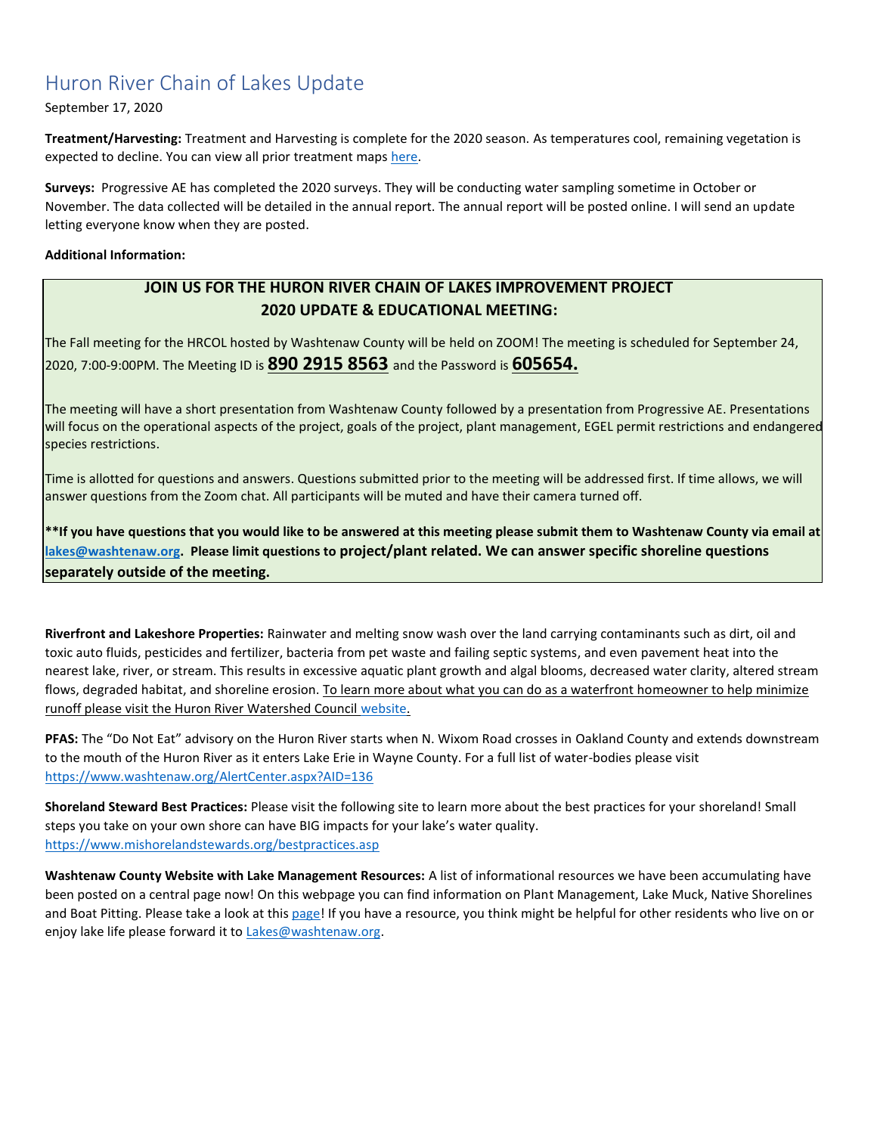## Huron River Chain of Lakes Update

#### September 17, 2020

**Treatment/Harvesting:** Treatment and Harvesting is complete for the 2020 season. As temperatures cool, remaining vegetation is expected to decline. You can view all prior treatment maps [here.](https://www.washtenaw.org/799/Chain-of-Lakes-Weed-Control-Activities)

**Surveys:** Progressive AE has completed the 2020 surveys. They will be conducting water sampling sometime in October or November. The data collected will be detailed in the annual report. The annual report will be posted online. I will send an update letting everyone know when they are posted.

#### **Additional Information:**

### **JOIN US FOR THE HURON RIVER CHAIN OF LAKES IMPROVEMENT PROJECT 2020 UPDATE & EDUCATIONAL MEETING:**

The Fall meeting for the HRCOL hosted by Washtenaw County will be held on ZOOM! The meeting is scheduled for September 24, 2020, 7:00-9:00PM. The Meeting ID is **890 2915 8563** and the Password is **605654.** 

The meeting will have a short presentation from Washtenaw County followed by a presentation from Progressive AE. Presentations will focus on the operational aspects of the project, goals of the project, plant management, EGEL permit restrictions and endangered species restrictions.

Time is allotted for questions and answers. Questions submitted prior to the meeting will be addressed first. If time allows, we will answer questions from the Zoom chat. All participants will be muted and have their camera turned off.

**\*\*If you have questions that you would like to be answered at this meeting please submit them to Washtenaw County via email at [lakes@washtenaw.org.](mailto:lakes@washtenaw.org) Please limit questions to project/plant related. We can answer specific shoreline questions separately outside of the meeting.** 

**Riverfront and Lakeshore Properties:** Rainwater and melting snow wash over the land carrying contaminants such as dirt, oil and toxic auto fluids, pesticides and fertilizer, bacteria from pet waste and failing septic systems, and even pavement heat into the nearest lake, river, or stream. This results in excessive aquatic plant growth and algal blooms, decreased water clarity, altered stream flows, degraded habitat, and shoreline erosion. To learn more about what you can do as a waterfront homeowner to help minimize runoff please visit the Huron River Watershed Council [website.](https://www.hrwc.org/take-action/at-home/riverfront-lakeshore-properties/)

**PFAS:** The "Do Not Eat" advisory on the Huron River starts when N. Wixom Road crosses in Oakland County and extends downstream to the mouth of the Huron River as it enters Lake Erie in Wayne County. For a full list of water-bodies please visit <https://www.washtenaw.org/AlertCenter.aspx?AID=136>

**Shoreland Steward Best Practices:** Please visit the following site to learn more about the best practices for your shoreland! Small steps you take on your own shore can have BIG impacts for your lake's water quality. [https://www.mishorelandstewards.org/bestpractices.asp](https://gcc01.safelinks.protection.outlook.com/?url=https%3A%2F%2Fwww.mishorelandstewards.org%2Fbestpractices.asp&data=02%7C01%7Ckoloskil%40washtenaw.org%7Cc1099d767abc47df4fd108d6ffc1b605%7C940f79927c85414e8cb10632dd3a5282%7C0%7C0%7C636977604786419415&sdata=y9VJuglOwLSYM%2F8PlrbVRfiz7aXv3RoGR2iMVcbKcuY%3D&reserved=0)

**Washtenaw County Website with Lake Management Resources:** A list of informational resources we have been accumulating have been posted on a central page now! On this webpage you can find information on Plant Management, Lake Muck, Native Shorelines and Boat Pitting. Please take a look at this [page!](https://www.washtenaw.org/3062/Lake-Management-Resources) If you have a resource, you think might be helpful for other residents who live on or enjoy lake life please forward it to **Lakes@washtenaw.org**.